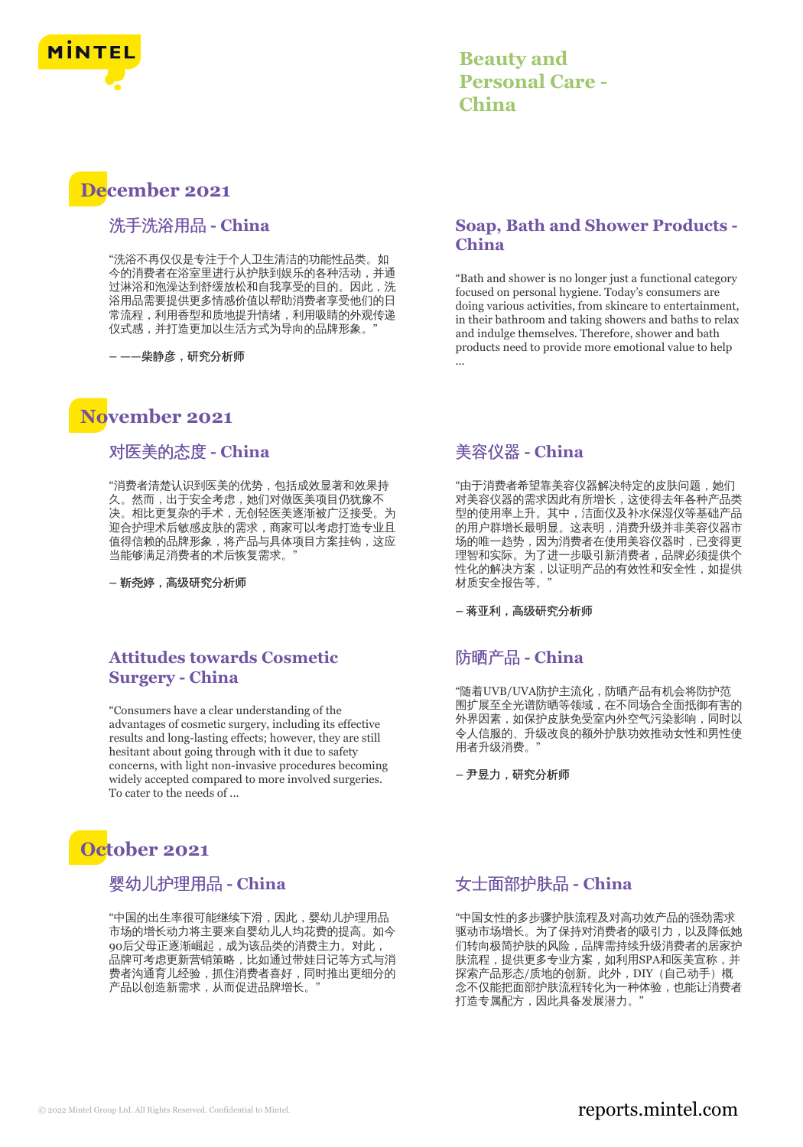

## **Beauty and Personal Care - China**

# **December 2021**

## 洗手洗浴用品 **- China**

"洗浴不再仅仅是专注于个人卫生清洁的功能性品类。如 今的消费者在浴室里进行从护肤到娱乐的各种活动,并通 过淋浴和泡澡达到舒缓放松和自我享受的目的。因此,洗 浴用品需要提供更多情感价值以帮助消费者享受他们的日 常流程,利用香型和质地提升情绪,利用吸睛的外观传递 仪式感,并打造更加以生活方式为导向的品牌形象。

**– ——**柴静彦,研究分析师

## **November 2021**

## 对医美的态度 **- China**

"消费者清楚认识到医美的优势,包括成效显著和效果持 久。然而,出于安全考虑,她们对做医美项目仍犹豫不 决。相比更复杂的手术,无创轻医美逐渐被广泛接受。为 迎合护理术后敏感皮肤的需求,商家可以考虑打造专业且 值得信赖的品牌形象,将产品与具体项目方案挂钩,这应 当能够满足消费者的术后恢复需求。"

**–** 靳尧婷,高级研究分析师

## **Attitudes towards Cosmetic Surgery - China**

"Consumers have a clear understanding of the advantages of cosmetic surgery, including its effective results and long-lasting effects; however, they are still hesitant about going through with it due to safety concerns, with light non-invasive procedures becoming widely accepted compared to more involved surgeries. To cater to the needs of ...

# **October 2021**

## 婴幼儿护理用品 **- China**

"中国的出生率很可能继续下滑,因此,婴幼儿护理用品 市场的增长动力将主要来自婴幼儿人均花费的提高。如今 90后父母正逐渐崛起,成为该品类的消费主力。对此, 品牌可考虑更新营销策略,比如通过带娃日记等方式与消 费者沟通育儿经验,抓住消费者喜好,同时推出更细分的 产品以创造新需求,从而促进品牌增长。"

## **Soap, Bath and Shower Products - China**

"Bath and shower is no longer just a functional category focused on personal hygiene. Today's consumers are doing various activities, from skincare to entertainment, in their bathroom and taking showers and baths to relax and indulge themselves. Therefore, shower and bath products need to provide more emotional value to help ...

## 美容仪器 **- China**

"由于消费者希望靠美容仪器解决特定的皮肤问题,她们 对美容仪器的需求因此有所增长,这使得去年各种产品类 型的使用率上升。其中,洁面仪及补水保湿仪等基础产品 的用户群增长最明显。这表明,消费升级并非美容仪器市 场的唯一趋势,因为消费者在使用美容仪器时,已变得更 理智和实际。为了进一步吸引新消费者,品牌必须提供个 性化的解决方案,以证明产品的有效性和安全性,如提供 材质安全报告等。"

**–** 蒋亚利,高级研究分析师

## 防晒产品 **- China**

"随着UVB/UVA防护主流化,防晒产品有机会将防护范 围扩展至全光谱防晒等领域,在不同场合全面抵御有害的 外界因素,如保护皮肤免受室内外空气污染影响,同时以 令人信服的、升级改良的额外护肤功效推动女性和男性使 用者升级消费。"

**–** 尹昱力,研究分析师

## 女士面部护肤品 **- China**

"中国女性的多步骤护肤流程及对高功效产品的强劲需求 驱动市场增长。为了保持对消费者的吸引力,以及降低她 们转向极简护肤的风险,品牌需持续升级消费者的居家护 肤流程,提供更多专业方案,如利用SPA和医美宣称,并 探索产品形态/质地的创新。此外,DIY(自己动手)概 念不仅能把面部护肤流程转化为一种体验,也能让消费者 打造专属配方,因此具备发展潜力。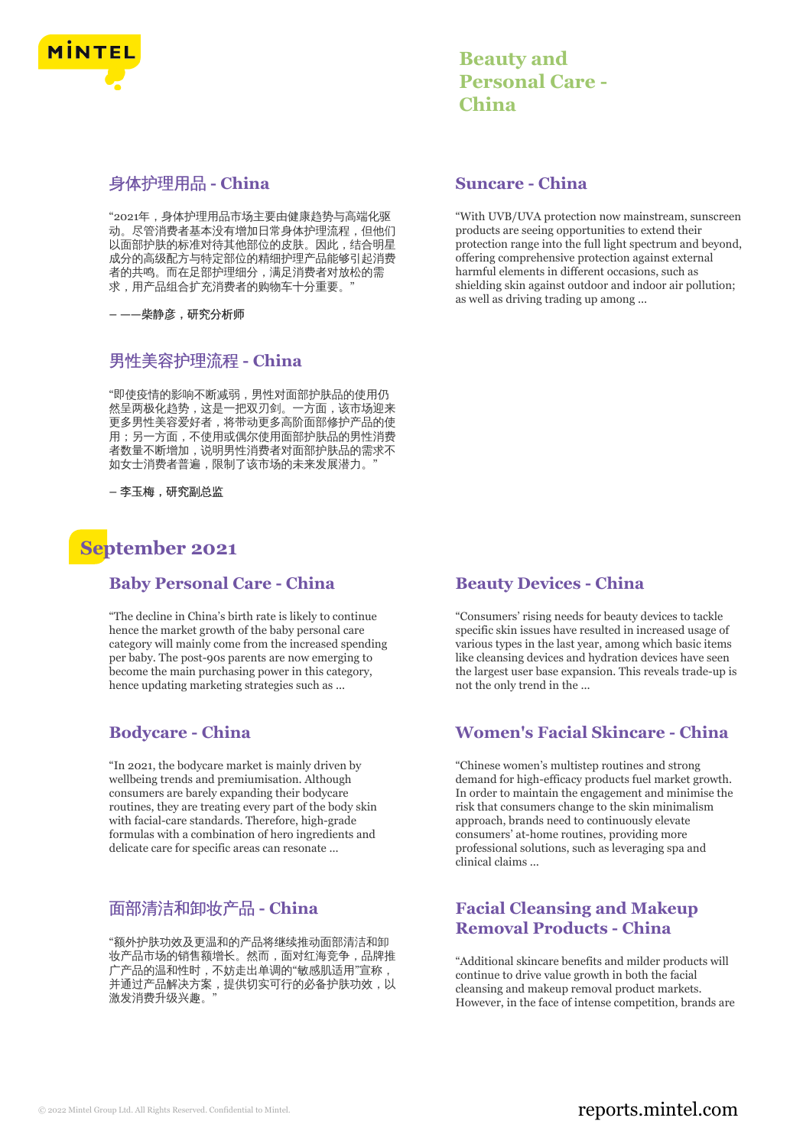

## 身体护理用品 **- China**

"2021年,身体护理用品市场主要由健康趋势与高端化驱 动。尽管消费者基本没有增加日常身体护理流程,但他们 以面部护肤的标准对待其他部位的皮肤。因此,结合明星 次回动场的指控力技能和强力发展。自治疗自己分<u>生</u> 者的共鸣。而在足部护理细分,满足消费者对放松的需 求,用产品组合扩充消费者的购物车十分重要。

**– ——**柴静彦,研究分析师

## 男性美容护理流程 **- China**

"即使疫情的影响不断减弱,男性对面部护肤品的使用仍 然呈两极化趋势,这是一把双刃剑。一方面,该市场迎来 更多男性美容爱好者,将带动更多高阶面部修护产品的使 用;另一方面,不使用或偶尔使用面部护肤品的男性消费 者数量不断增加,说明男性消费者对面部护肤品的需求不 如女士消费者普遍,限制了该市场的未来发展潜力。

**–** 李玉梅,研究副总监

## **September 2021**

#### **Baby Personal Care - China**

"The decline in China's birth rate is likely to continue hence the market growth of the baby personal care category will mainly come from the increased spending per baby. The post-90s parents are now emerging to become the main purchasing power in this category, hence updating marketing strategies such as ...

#### **Bodycare - China**

"In 2021, the bodycare market is mainly driven by wellbeing trends and premiumisation. Although consumers are barely expanding their bodycare routines, they are treating every part of the body skin with facial-care standards. Therefore, high-grade formulas with a combination of hero ingredients and delicate care for specific areas can resonate ...

## 面部清洁和卸妆产品 **- China**

"额外护肤功效及更温和的产品将继续推动面部清洁和卸 妆产品市场的销售额增长。然而,面对红海竞争,品牌推 广产品的温和性时,不妨走出单调的"敏感肌适用"宣称, ,<br>并通过产品解决方案,提供切实可行的必备护肤功效,以 激发消费升级兴趣。"

## **Beauty and Personal Care - China**

#### **Suncare - China**

"With UVB/UVA protection now mainstream, sunscreen products are seeing opportunities to extend their protection range into the full light spectrum and beyond, offering comprehensive protection against external harmful elements in different occasions, such as shielding skin against outdoor and indoor air pollution; as well as driving trading up among ...

#### **Beauty Devices - China**

"Consumers' rising needs for beauty devices to tackle specific skin issues have resulted in increased usage of various types in the last year, among which basic items like cleansing devices and hydration devices have seen the largest user base expansion. This reveals trade-up is not the only trend in the ...

#### **Women's Facial Skincare - China**

"Chinese women's multistep routines and strong demand for high-efficacy products fuel market growth. In order to maintain the engagement and minimise the risk that consumers change to the skin minimalism approach, brands need to continuously elevate consumers' at-home routines, providing more professional solutions, such as leveraging spa and clinical claims ...

## **Facial Cleansing and Makeup Removal Products - China**

"Additional skincare benefits and milder products will continue to drive value growth in both the facial cleansing and makeup removal product markets. However, in the face of intense competition, brands are

## © 2022 Mintel Group Ltd. All Rights Reserved. Confidential to Mintel.  $\blacksquare$  reports.mintel.com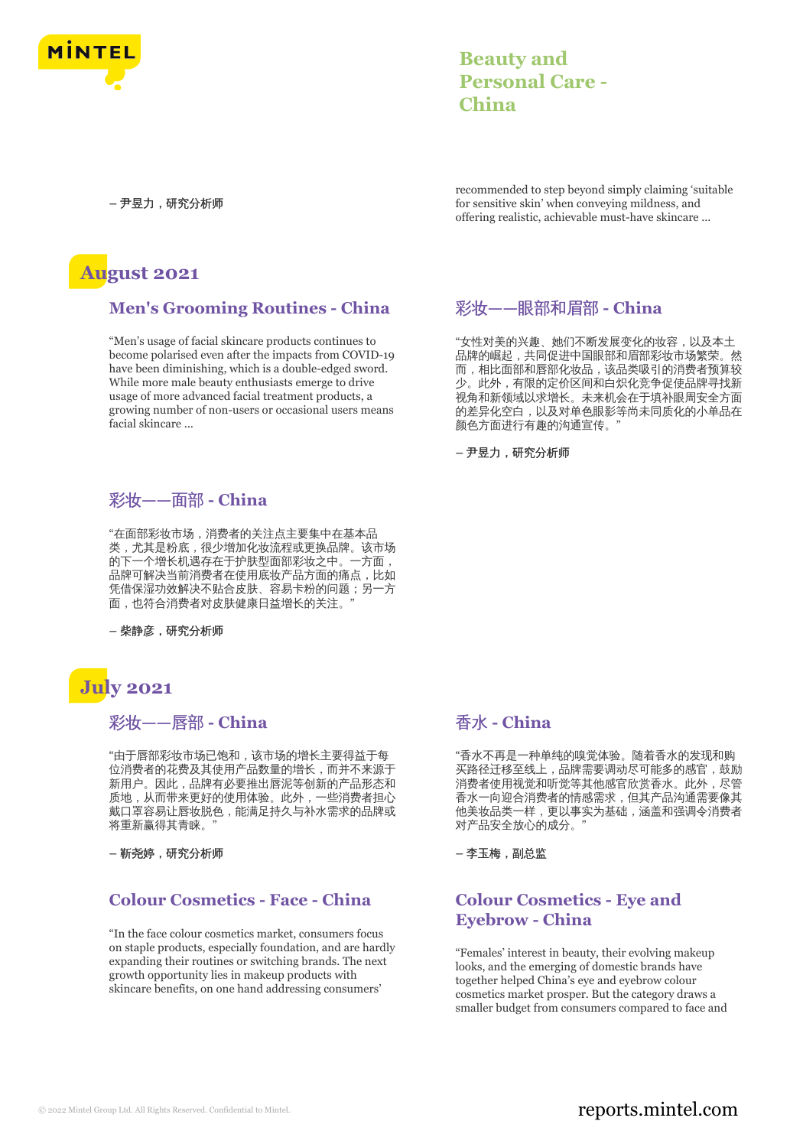

## **Beauty and Personal Care - China**

**–** 尹昱力,研究分析师

## **August 2021**

## **Men's Grooming Routines - China**

"Men's usage of facial skincare products continues to become polarised even after the impacts from COVID-19 have been diminishing, which is a double-edged sword. While more male beauty enthusiasts emerge to drive usage of more advanced facial treatment products, a growing number of non-users or occasional users means facial skincare ...

彩妆**——**面部 **- China**

"在面部彩妆市场,消费者的关注点主要集中在基本品 类,尤其是粉底,很少增加化妆流程或更换品牌。该市场 的下一个增长机遇存在于护肤型面部彩妆之中。一方面, 品牌可解决当前消费者在使用底妆产品方面的痛点,比如 凭借保湿功效解决不贴合皮肤、容易卡粉的问题;另一方 面,也符合消费者对皮肤健康日益增长的关注。"

**–** 柴静彦,研究分析师

# **July 2021**

#### 彩妆**——**唇部 **- China**

"由于唇部彩妆市场已饱和,该市场的增长主要得益于每 位消费者的花费及其使用产品数量的增长,而并不来源于 新用户。因此,品牌有必要推出唇泥等创新的产品形态和 质地,从而带来更好的使用体验。此外,一些消费者担心 戴口罩容易让唇妆脱色,能满足持久与补水需求的品牌或 将重新赢得其青睐。"

**–** 靳尧婷,研究分析师

## **Colour Cosmetics - Face - China**

"In the face colour cosmetics market, consumers focus on staple products, especially foundation, and are hardly expanding their routines or switching brands. The next growth opportunity lies in makeup products with skincare benefits, on one hand addressing consumers'

recommended to step beyond simply claiming 'suitable for sensitive skin' when conveying mildness, and offering realistic, achievable must-have skincare ...

## 彩妆**——**眼部和眉部 **- China**

"女性对美的兴趣、她们不断发展变化的妆容,以及本土 品牌的崛起,共同促进中国眼部和眉部彩妆市场繁荣。然 而,相比面部和唇部化妆品,该品类吸引的消费者预算较 少。此外,有限的定价区间和白炽化竞争促使品牌寻找新 视角和新领域以求增长。未来机会在于填补眼周安全方面 的差异化空白,以及对单色眼影等尚未同质化的小单品在 颜色方面进行有趣的沟通宣传。"

**–** 尹昱力,研究分析师

## 香水 **- China**

"香水不再是一种单纯的嗅觉体验。随着香水的发现和购 买路径迁移至线上,品牌需要调动尽可能多的感官,鼓励 消费者使用视觉和听觉等其他感官欣赏香水。此外,尽管 香水一向迎合消费者的情感需求,但其产品沟通需要像其 他美妆品类一样,更以事实为基础,涵盖和强调令消费者 对产品安全放心的成分。"

**–** 李玉梅,副总监

## **Colour Cosmetics - Eye and Eyebrow - China**

"Females' interest in beauty, their evolving makeup looks, and the emerging of domestic brands have together helped China's eye and eyebrow colour cosmetics market prosper. But the category draws a smaller budget from consumers compared to face and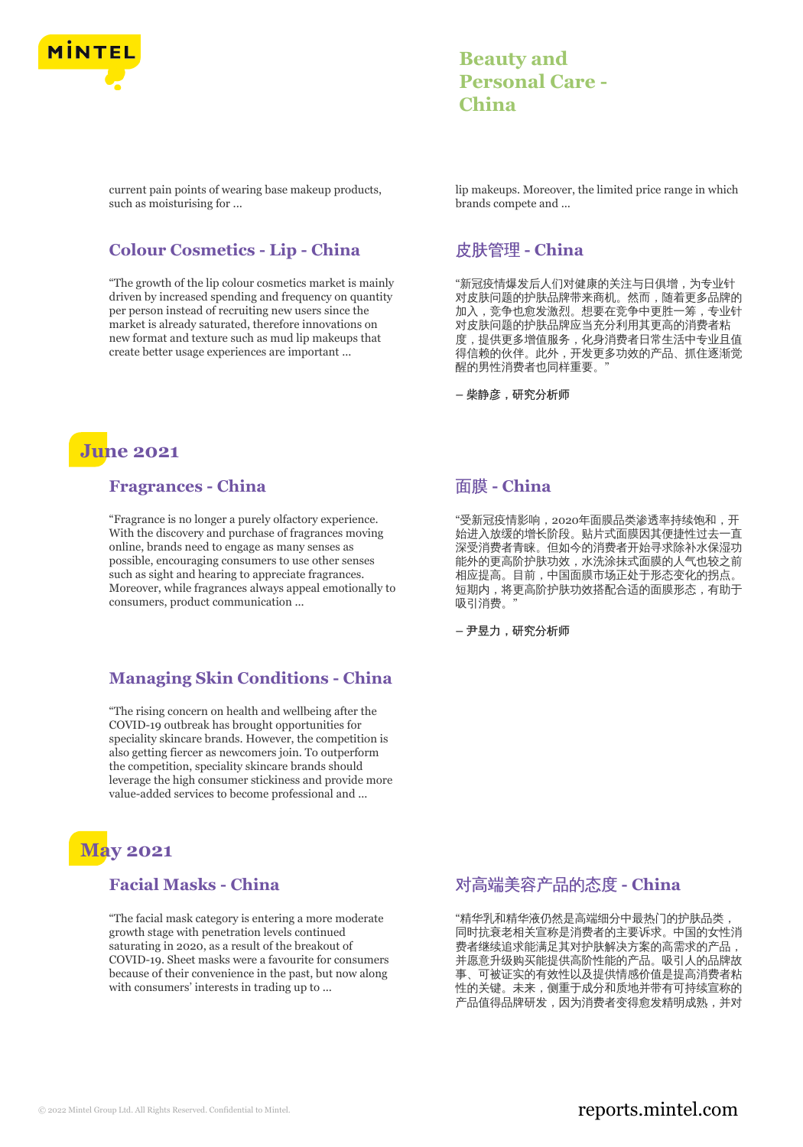

## **Beauty and Personal Care - China**

current pain points of wearing base makeup products, such as moisturising for ...

## **Colour Cosmetics - Lip - China**

"The growth of the lip colour cosmetics market is mainly driven by increased spending and frequency on quantity per person instead of recruiting new users since the market is already saturated, therefore innovations on new format and texture such as mud lip makeups that create better usage experiences are important ...

lip makeups. Moreover, the limited price range in which brands compete and ...

## 皮肤管理 **- China**

"新冠疫情爆发后人们对健康的关注与日俱增,为专业针 对皮肤问题的护肤品牌带来商机。然而,随着更多品牌的 加入,竞争也愈发激烈。想要在竞争中更胜一筹,专业针 对皮肤问题的护肤品牌应当充分利用其更高的消费者粘 度,提供更多增值服务,化身消费者日常生活中专业且值 得信赖的伙伴。此外,开发更多功效的产品、抓住逐渐觉 醒的男性消费者也同样重要。"

**–** 柴静彦,研究分析师

## **June 2021**

#### **Fragrances - China**

"Fragrance is no longer a purely olfactory experience. With the discovery and purchase of fragrances moving online, brands need to engage as many senses as possible, encouraging consumers to use other senses such as sight and hearing to appreciate fragrances. Moreover, while fragrances always appeal emotionally to consumers, product communication ...

## **Managing Skin Conditions - China**

"The rising concern on health and wellbeing after the COVID-19 outbreak has brought opportunities for speciality skincare brands. However, the competition is also getting fiercer as newcomers join. To outperform the competition, speciality skincare brands should leverage the high consumer stickiness and provide more value-added services to become professional and ...

# **May 2021**

## **Facial Masks - China**

"The facial mask category is entering a more moderate growth stage with penetration levels continued saturating in 2020, as a result of the breakout of COVID-19. Sheet masks were a favourite for consumers because of their convenience in the past, but now along with consumers' interests in trading up to ...

## 面膜 **- China**

"受新冠疫情影响,2020年面膜品类渗透率持续饱和,开 始进入放缓的增长阶段。贴片式面膜因其便捷性过去一直 深受消费者青睐。但如今的消费者开始寻求除补水保湿功 能外的更高阶护肤功效,水洗涂抹式面膜的人气也较之前 相应提高。目前,中国面膜市场正处于形态变化的拐点。 短期内,将更高阶护肤功效搭配合适的面膜形态,有助于 吸引消费。"

**–** 尹昱力,研究分析师

## 对高端美容产品的态度 **- China**

"精华乳和精华液仍然是高端细分中最热门的护肤品类, 同时抗衰老相关宣称是消费者的主要诉求。中国的女性消 费者继续追求能满足其对护肤解决方案的高需求的产品, 并愿意升级购买能提供高阶性能的产品。吸引人的品牌故 事、可被证实的有效性以及提供情感价值是提高消费者粘 性的关键。未来,侧重于成分和质地并带有可持续宣称的 产品值得品牌研发,因为消费者变得愈发精明成熟,并对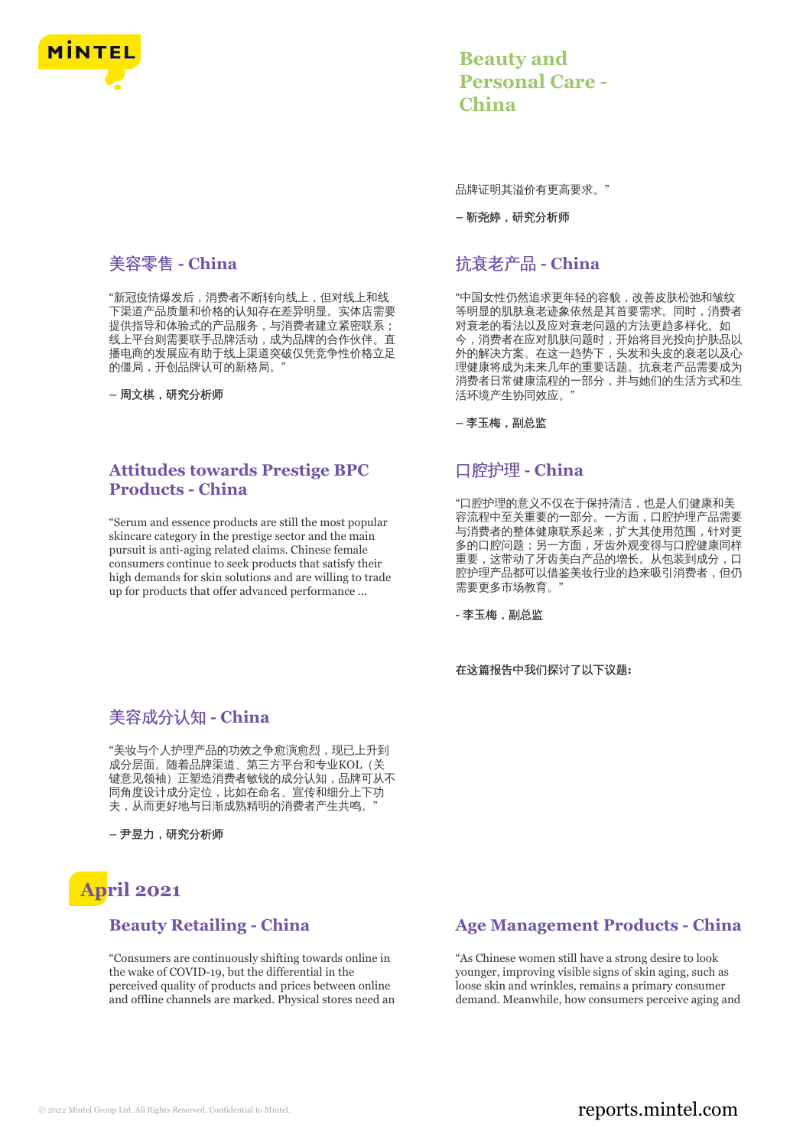

## 美容零售 **- China**

"新冠疫情爆发后,消费者不断转向线上,但对线上和线 下渠道产品质量和价格的认知存在差异明显。实体店需要 提供指导和体验式的产品服务,与消费者建立紧密联系; 线上平台则需要联手品牌活动,成为品牌的合作伙伴。直 播电商的发展应有助于线上渠道突破仅凭竞争性价格立足 的僵局,开创品牌认可的新格局。"

**–** 周文棋,研究分析师

## **Attitudes towards Prestige BPC Products - China**

"Serum and essence products are still the most popular skincare category in the prestige sector and the main pursuit is anti-aging related claims. Chinese female consumers continue to seek products that satisfy their high demands for skin solutions and are willing to trade up for products that offer advanced performance ...

## **Beauty and Personal Care - China**

品牌证明其溢价有更高要求。"

**–** 靳尧婷,研究分析师

## 抗衰老产品 **- China**

"中国女性仍然追求更年轻的容貌,改善皮肤松弛和皱纹 等明显的肌肤衰老迹象依然是其首要需求。同时,消费者 对衰老的看法以及应对衰老问题的方法更趋多样化。如 今,消费者在应对肌肤问题时,开始将目光投向护肤品以 外的解决方案。在这一趋势下,头发和头皮的衰老以及心 理健康将成为未来几年的重要话题。抗衰老产品需要成为 消费者日常健康流程的一部分,并与她们的生活方式和生 活环境产生协同效应。

**–** 李玉梅,副总监

## 口腔护理 **- China**

"口腔护理的意义不仅在于保持清洁,也是人们健康和美 容流程中至关重要的一部分。一方面,口腔护理产品需要 与消费者的整体健康联系起来,扩大其使用范围,针对更 多的口腔问题;另一方面,牙齿外观变得与口腔健康同样 重要,这带动了牙齿美白产品的增长。从包装到成分,口 腔护理产品都可以借鉴美妆行业的趋来吸引消费者,但仍 需要更多市场教育。"

**-** 李玉梅,副总监

在这篇报告中我们探讨了以下议题**:**

## 美容成分认知 **- China**

"美妆与个人护理产品的功效之争愈演愈烈,现已上升到 成分层面。随着品牌渠道、第三方平台和专业KOL(关 键意见领袖)正塑造消费者敏锐的成分认知,品牌可从不 同角度设计成分定位,比如在命名、宣传和细分上下功 夫,从而更好地与日渐成熟精明的消费者产生共鸣。"

**–** 尹昱力,研究分析师

# **April 2021**

## **Beauty Retailing - China**

"Consumers are continuously shifting towards online in the wake of COVID-19, but the differential in the perceived quality of products and prices between online and offline channels are marked. Physical stores need an

## **Age Management Products - China**

"As Chinese women still have a strong desire to look younger, improving visible signs of skin aging, such as loose skin and wrinkles, remains a primary consumer demand. Meanwhile, how consumers perceive aging and

## © 2022 Mintel Group Ltd. All Rights Reserved. Confidential to Mintel.  $\blacksquare$  reports.mintel.com